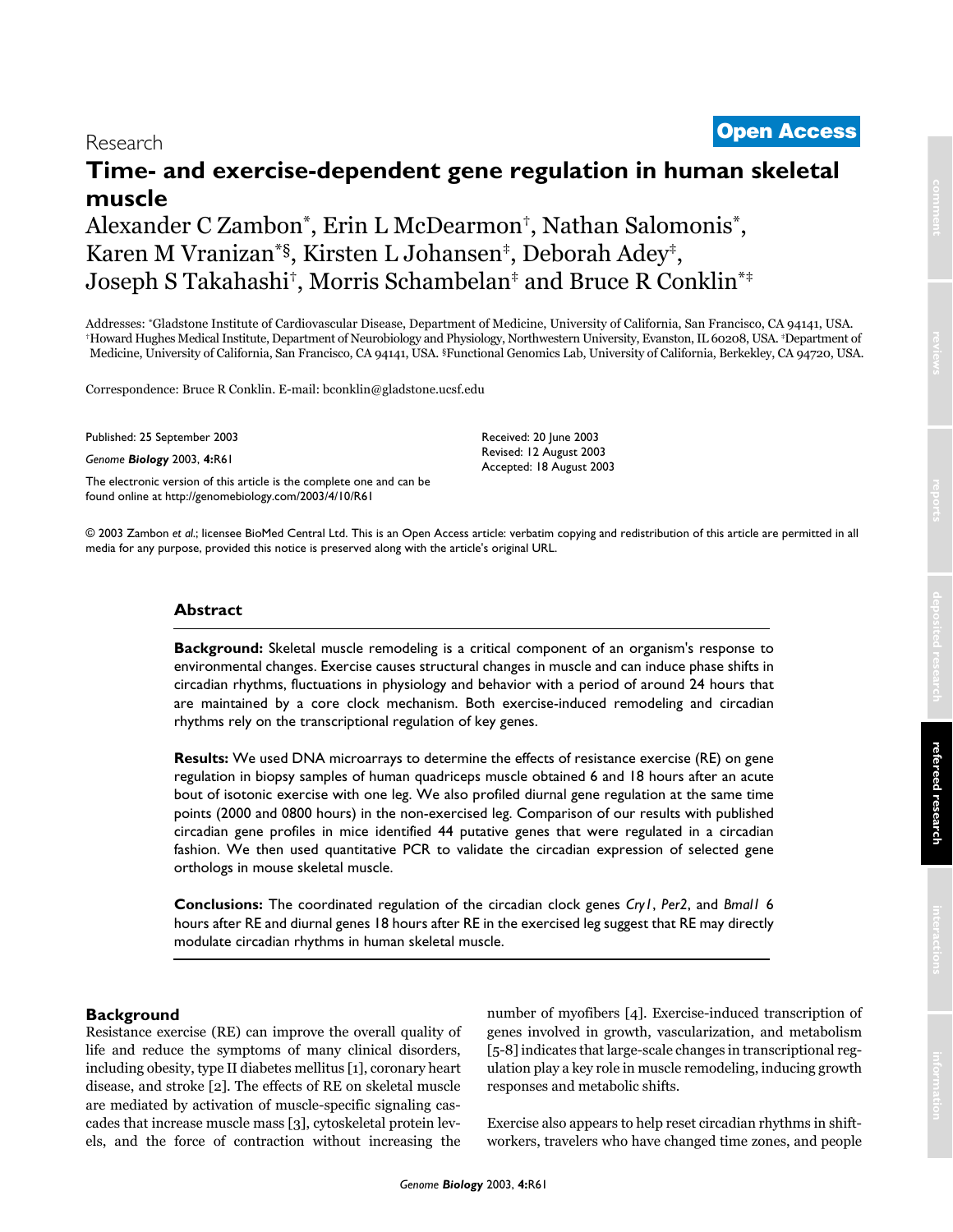# <sup>2003</sup> Zambon et al. Volume 4, Issue 10, Article R61 **[Open Access](http://www.biomedcentral.com/info/about/charter/)** Research

# **Time- and exercise-dependent gene regulation in human skeletal muscle**

# Alexander C Zambon\*, Erin L McDearmon†, Nathan Salomonis\*, Karen M Vranizan\*§, Kirsten L Johansen‡, Deborah Adey‡, Joseph S Takahashi†, Morris Schambelan‡ and Bruce R Conklin\*‡

Addresses: "Gladstone Institute of Cardiovascular Disease, Department of Medicine, University of California, San Francisco, CA 94141, USA.<br>"Howard Hughes Medical Institute, Department of Neurobiology and Physiology, Northw Medicine, University of California, San Francisco, CA 94141, USA. §Functional Genomics Lab, University of California, Berkekley, CA 94720, USA.

Correspondence: Bruce R Conklin. E-mail: bconklin@gladstone.ucsf.ed[u](http://www.ncbi.nlm.nih.gov/entrez/query.fcgi?cmd=Retrieve&db=PubMed&dopt=Abstract&list_uids=10.1186/gb-2003-4-10-r61)

Published: 25 September 2003

*Genome Biology* 2003, **4:**R61

[The electronic version of this article is the complete one and can be](http://genome-biology.com/2003/4/10/R61)  found online at http://genomebiology.com/2003/4/10/R61

Received: 20 June 2003 Revised: 12 August 2003 Accepted: 18 August 2003

© 2003 Zambon *et al*.; licensee BioMed Central Ltd. This is an Open Access article: verbatim copying and redistribution of this article are permitted in all media for any purpose, provided this notice is preserved along with the article's original URL.

# **Abstract**

**Background:** Skeletal muscle remodeling is a critical component of an organism's response to environmental changes. Exercise causes structural changes in muscle and can induce phase shifts in circadian rhythms, fluctuations in physiology and behavior with a period of around 24 hours that are maintained by a core clock mechanism. Both exercise-induced remodeling and circadian rhythms rely on the transcriptional regulation of key genes.

**Results:** We used DNA microarrays to determine the effects of resistance exercise (RE) on gene regulation in biopsy samples of human quadriceps muscle obtained 6 and 18 hours after an acute bout of isotonic exercise with one leg. We also profiled diurnal gene regulation at the same time points (2000 and 0800 hours) in the non-exercised leg. Comparison of our results with published circadian gene profiles in mice identified 44 putative genes that were regulated in a circadian fashion. We then used quantitative PCR to validate the circadian expression of selected gene orthologs in mouse skeletal muscle.

**Conclusions:** The coordinated regulation of the circadian clock genes *Cry1*, *Per2*, and *Bmal1* 6 hours after RE and diurnal genes 18 hours after RE in the exercised leg suggest that RE may directly modulate circadian rhythms in human skeletal muscle.

# **Background**

Resistance exercise (RE) can improve the overall quality of life and reduce the symptoms of many clinical disorders, including obesity, type II diabetes mellitus [1], coronary heart disease, and stroke [2]. The effects of RE on skeletal muscle are mediated by activation of muscle-specific signaling cascades that increase muscle mass [3], cytoskeletal protein levels, and the force of contraction without increasing the number of myofibers [4]. Exercise-induced transcription of genes involved in growth, vascularization, and metabolism [5-8] indicates that large-scale changes in transcriptional regulation play a key role in muscle remodeling, inducing growth responses and metabolic shifts.

Exercise also appears to help reset circadian rhythms in shiftworkers, travelers who have changed time zones, and people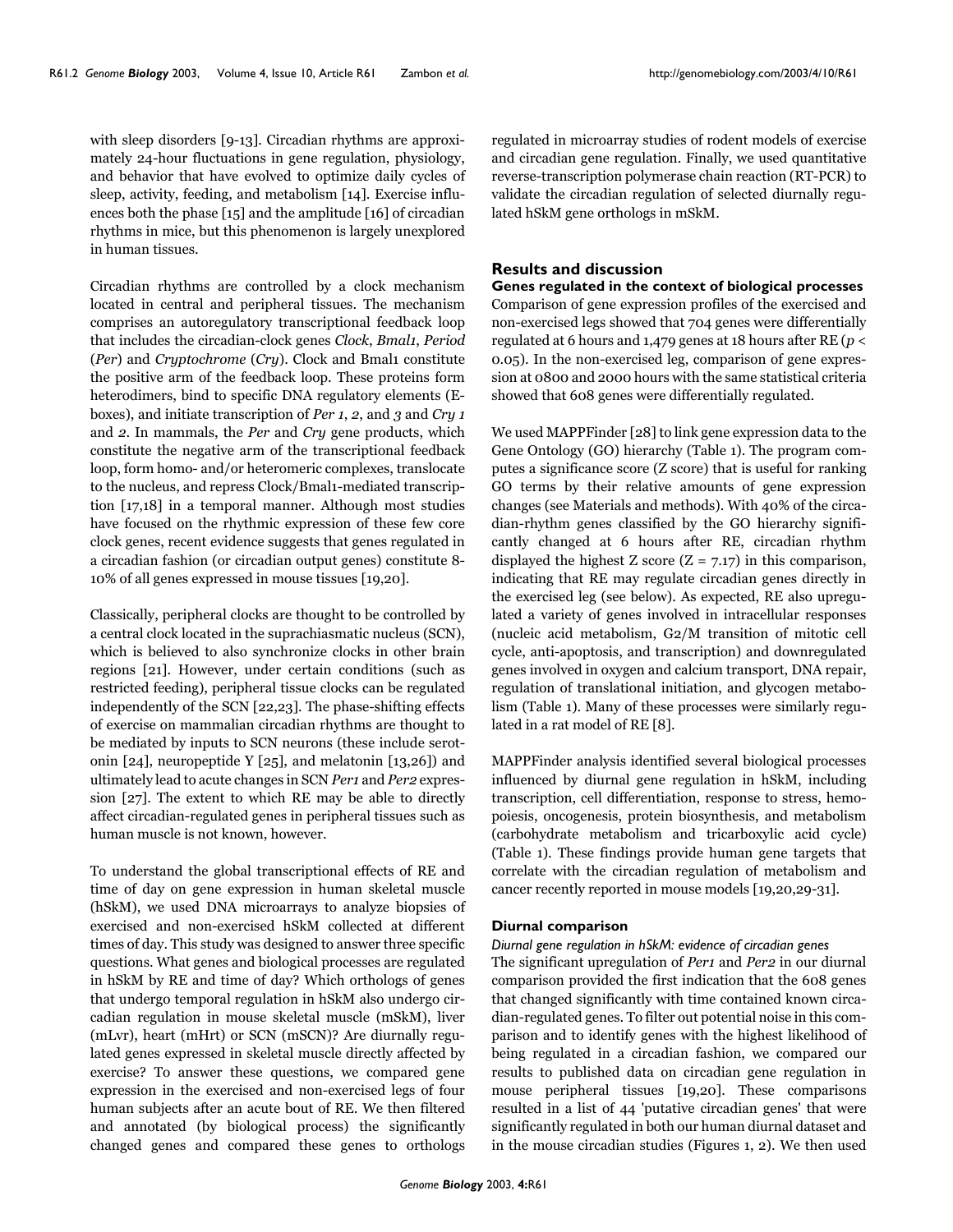with sleep disorders [9-13]. Circadian rhythms are approximately 24-hour fluctuations in gene regulation, physiology, and behavior that have evolved to optimize daily cycles of sleep, activity, feeding, and metabolism [14]. Exercise influences both the phase [15] and the amplitude [16] of circadian rhythms in mice, but this phenomenon is largely unexplored in human tissues.

Circadian rhythms are controlled by a clock mechanism located in central and peripheral tissues. The mechanism comprises an autoregulatory transcriptional feedback loop that includes the circadian-clock genes *Clock*, *Bmal1*, *Period* (*Per*) and *Cryptochrome* (*Cry*). Clock and Bmal1 constitute the positive arm of the feedback loop. These proteins form heterodimers, bind to specific DNA regulatory elements (Eboxes), and initiate transcription of *Per 1*, *2*, and *3* and *Cry 1* and *2*. In mammals, the *Per* and *Cry* gene products, which constitute the negative arm of the transcriptional feedback loop, form homo- and/or heteromeric complexes, translocate to the nucleus, and repress Clock/Bmal1-mediated transcription [17,18] in a temporal manner. Although most studies have focused on the rhythmic expression of these few core clock genes, recent evidence suggests that genes regulated in a circadian fashion (or circadian output genes) constitute 8- 10% of all genes expressed in mouse tissues [19,20].

Classically, peripheral clocks are thought to be controlled by a central clock located in the suprachiasmatic nucleus (SCN), which is believed to also synchronize clocks in other brain regions [21]. However, under certain conditions (such as restricted feeding), peripheral tissue clocks can be regulated independently of the SCN [22,23]. The phase-shifting effects of exercise on mammalian circadian rhythms are thought to be mediated by inputs to SCN neurons (these include serotonin [24], neuropeptide Y [25], and melatonin [13,26]) and ultimately lead to acute changes in SCN *Per1* and *Per2* expression [27]. The extent to which RE may be able to directly affect circadian-regulated genes in peripheral tissues such as human muscle is not known, however.

To understand the global transcriptional effects of RE and time of day on gene expression in human skeletal muscle (hSkM), we used DNA microarrays to analyze biopsies of exercised and non-exercised hSkM collected at different times of day. This study was designed to answer three specific questions. What genes and biological processes are regulated in hSkM by RE and time of day? Which orthologs of genes that undergo temporal regulation in hSkM also undergo circadian regulation in mouse skeletal muscle (mSkM), liver (mLvr), heart (mHrt) or SCN (mSCN)? Are diurnally regulated genes expressed in skeletal muscle directly affected by exercise? To answer these questions, we compared gene expression in the exercised and non-exercised legs of four human subjects after an acute bout of RE. We then filtered and annotated (by biological process) the significantly changed genes and compared these genes to orthologs

regulated in microarray studies of rodent models of exercise and circadian gene regulation. Finally, we used quantitative reverse-transcription polymerase chain reaction (RT-PCR) to validate the circadian regulation of selected diurnally regulated hSkM gene orthologs in mSkM.

# **Results and discussion**

**Genes regulated in the context of biological processes** Comparison of gene expression profiles of the exercised and non-exercised legs showed that 704 genes were differentially regulated at 6 hours and 1,479 genes at 18 hours after RE (*p* < 0.05). In the non-exercised leg, comparison of gene expression at 0800 and 2000 hours with the same statistical criteria showed that 608 genes were differentially regulated.

We used MAPPFinder [28] to link gene expression data to the Gene Ontology (GO) hierarchy (Table [1](#page-2-0)). The program computes a significance score (Z score) that is useful for ranking GO terms by their relative amounts of gene expression changes (see Materials and methods). With 40% of the circadian-rhythm genes classified by the GO hierarchy significantly changed at 6 hours after RE, circadian rhythm displayed the highest Z score  $(Z = 7.17)$  in this comparison, indicating that RE may regulate circadian genes directly in the exercised leg (see below). As expected, RE also upregulated a variety of genes involved in intracellular responses (nucleic acid metabolism, G2/M transition of mitotic cell cycle, anti-apoptosis, and transcription) and downregulated genes involved in oxygen and calcium transport, DNA repair, regulation of translational initiation, and glycogen metabolism (Table [1\)](#page-2-0). Many of these processes were similarly regulated in a rat model of RE [8].

MAPPFinder analysis identified several biological processes influenced by diurnal gene regulation in hSkM, including transcription, cell differentiation, response to stress, hemopoiesis, oncogenesis, protein biosynthesis, and metabolism (carbohydrate metabolism and tricarboxylic acid cycle) (Table [1\)](#page-2-0). These findings provide human gene targets that correlate with the circadian regulation of metabolism and cancer recently reported in mouse models [19,20,29[-31\]](#page-11-0).

## **Diurnal comparison**

## *Diurnal gene regulation in hSkM: evidence of circadian genes*

The significant upregulation of *Per1* and *Per2* in our diurnal comparison provided the first indication that the 608 genes that changed significantly with time contained known circadian-regulated genes. To filter out potential noise in this comparison and to identify genes with the highest likelihood of being regulated in a circadian fashion, we compared our results to published data on circadian gene regulation in mouse peripheral tissues [19,20]. These comparisons resulted in a list of 44 'putative circadian genes' that were significantly regulated in both our human diurnal dataset and in the mouse circadian studies (Figures 1, 2). We then used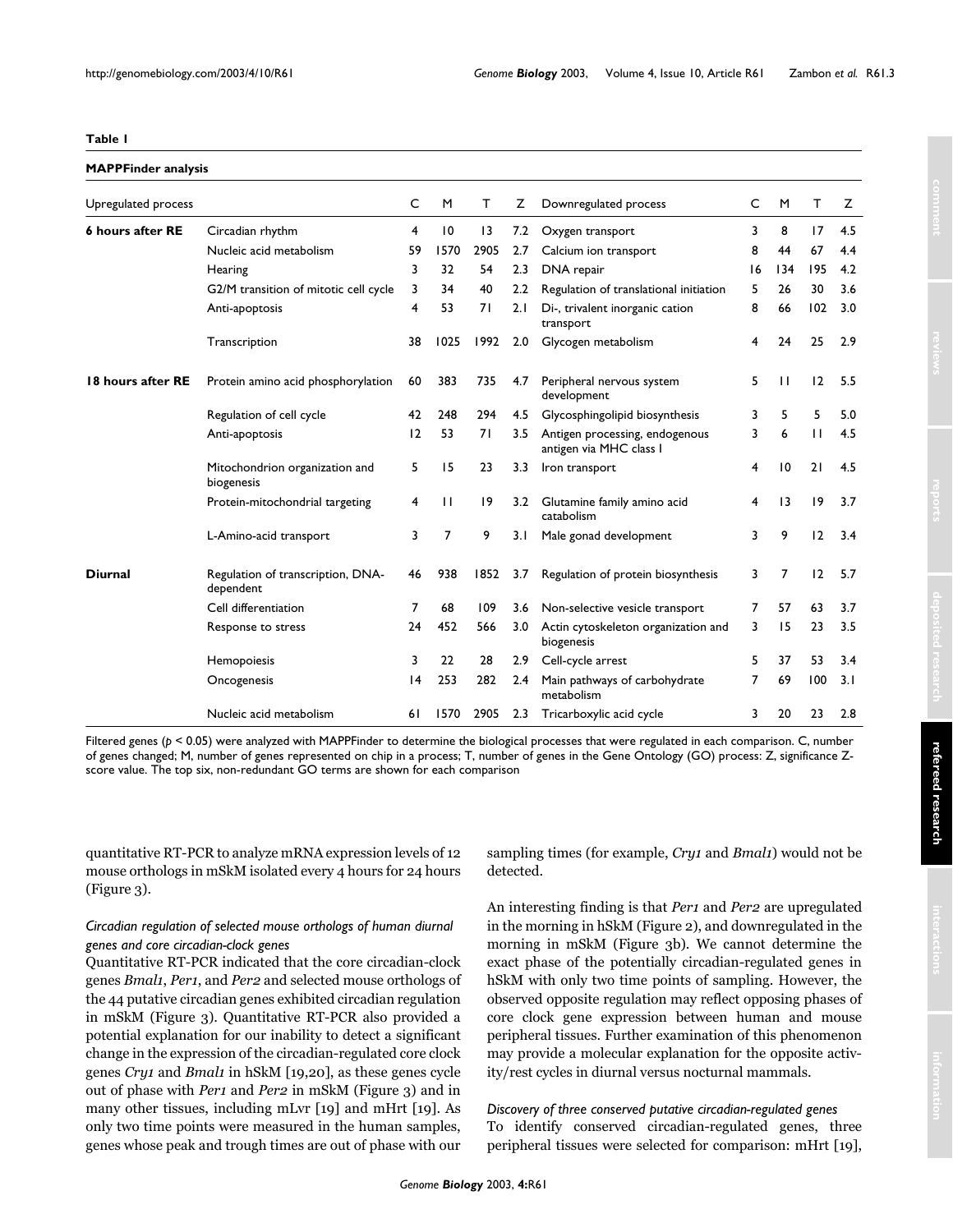## <span id="page-2-0"></span>**Table 1**

# **MAPPFinder analysis**

| Upregulated process     |                                                | C  | M               | T               | z                | Downregulated process                                     | C  | M               | Τ            | z   |
|-------------------------|------------------------------------------------|----|-----------------|-----------------|------------------|-----------------------------------------------------------|----|-----------------|--------------|-----|
| <b>6 hours after RE</b> | Circadian rhythm                               | 4  | $\overline{10}$ | $\overline{13}$ | 7.2              | Oxygen transport                                          | 3  | 8               | 17           | 4.5 |
|                         | Nucleic acid metabolism                        | 59 | 1570            | 2905            | 2.7              | Calcium ion transport                                     | 8  | 44              | 67           | 4.4 |
|                         | Hearing                                        | 3  | 32              | 54              | 2.3              | DNA repair                                                | 16 | 134             | 195          | 4.2 |
|                         | G2/M transition of mitotic cell cycle          | 3  | 34              | 40              | $2.2\phantom{0}$ | Regulation of translational initiation                    | 5  | 26              | 30           | 3.6 |
|                         | Anti-apoptosis                                 | 4  | 53              | 71              | 2.1              | Di-, trivalent inorganic cation<br>transport              | 8  | 66              | 102          | 3.0 |
|                         | Transcription                                  | 38 | 1025            | 1992            | 2.0              | Glycogen metabolism                                       | 4  | 24              | 25           | 2.9 |
| 18 hours after RE       | Protein amino acid phosphorylation             | 60 | 383             | 735             | 4.7              | Peripheral nervous system<br>development                  | 5  | $\mathbf{H}$    | 12           | 5.5 |
|                         | Regulation of cell cycle                       | 42 | 248             | 294             | 4.5              | Glycosphingolipid biosynthesis                            | 3  | 5               | 5            | 5.0 |
|                         | Anti-apoptosis                                 | 12 | 53              | 71              | 3.5              | Antigen processing, endogenous<br>antigen via MHC class I | 3  | 6               | $\mathbf{1}$ | 4.5 |
|                         | Mitochondrion organization and<br>biogenesis   | 5  | 15              | 23              | 3.3              | Iron transport                                            | 4  | $\overline{10}$ | 21           | 4.5 |
|                         | Protein-mitochondrial targeting                | 4  | $\mathbf{H}$    | 9               | 3.2              | Glutamine family amino acid<br>catabolism                 | 4  | 13              | 9            | 3.7 |
|                         | L-Amino-acid transport                         | 3  | 7               | 9               | 3.1              | Male gonad development                                    | 3  | 9               | 12           | 3.4 |
| <b>Diurnal</b>          | Regulation of transcription, DNA-<br>dependent | 46 | 938             | 1852            | 3.7              | Regulation of protein biosynthesis                        | 3  | 7               | 12           | 5.7 |
|                         | Cell differentiation                           | 7  | 68              | 109             | 3.6              | Non-selective vesicle transport                           | 7  | 57              | 63           | 3.7 |
|                         | Response to stress                             | 24 | 452             | 566             | 3.0              | Actin cytoskeleton organization and<br>biogenesis         | 3  | 15              | 23           | 3.5 |
|                         | Hemopoiesis                                    | 3  | 22              | 28              | 2.9              | Cell-cycle arrest                                         | 5  | 37              | 53           | 3.4 |
|                         | Oncogenesis                                    | 4  | 253             | 282             | 2.4              | Main pathways of carbohydrate<br>metabolism               | 7  | 69              | 100          | 3.1 |
|                         | Nucleic acid metabolism                        | 61 | 1570            | 2905            | 2.3              | Tricarboxylic acid cycle                                  | 3  | 20              | 23           | 2.8 |

Filtered genes ( $p < 0.05$ ) were analyzed with MAPPFinder to determine the biological processes that were regulated in each comparison. C, number of genes changed; M, number of genes represented on chip in a process; T, number of genes in the Gene Ontology (GO) process: Z, significance Zscore value. The top six, non-redundant GO terms are shown for each comparison

quantitative RT-PCR to analyze mRNA expression levels of 12 mouse orthologs in mSkM isolated every 4 hours for 24 hours (Figure 3).

# *Circadian regulation of selected mouse orthologs of human diurnal genes and core circadian-clock genes*

Quantitative RT-PCR indicated that the core circadian-clock genes *Bmal1*, *Per1*, and *Per2* and selected mouse orthologs of the 44 putative circadian genes exhibited circadian regulation in mSkM (Figure 3). Quantitative RT-PCR also provided a potential explanation for our inability to detect a significant change in the expression of the circadian-regulated core clock genes *Cry1* and *Bmal1* in hSkM [19,20], as these genes cycle out of phase with *Per1* and *Per2* in mSkM (Figure 3) and in many other tissues, including mLvr [19] and mHrt [19]. As only two time points were measured in the human samples, genes whose peak and trough times are out of phase with our

sampling times (for example, *Cry1* and *Bmal1*) would not be detected.

An interesting finding is that *Per1* and *Per2* are upregulated in the morning in hSkM (Figure 2), and downregulated in the morning in mSkM (Figure 3b). We cannot determine the exact phase of the potentially circadian-regulated genes in hSkM with only two time points of sampling. However, the observed opposite regulation may reflect opposing phases of core clock gene expression between human and mouse peripheral tissues. Further examination of this phenomenon may provide a molecular explanation for the opposite activity/rest cycles in diurnal versus nocturnal mammals.

*Discovery of three conserved putative circadian-regulated genes* To identify conserved circadian-regulated genes, three peripheral tissues were selected for comparison: mHrt [19],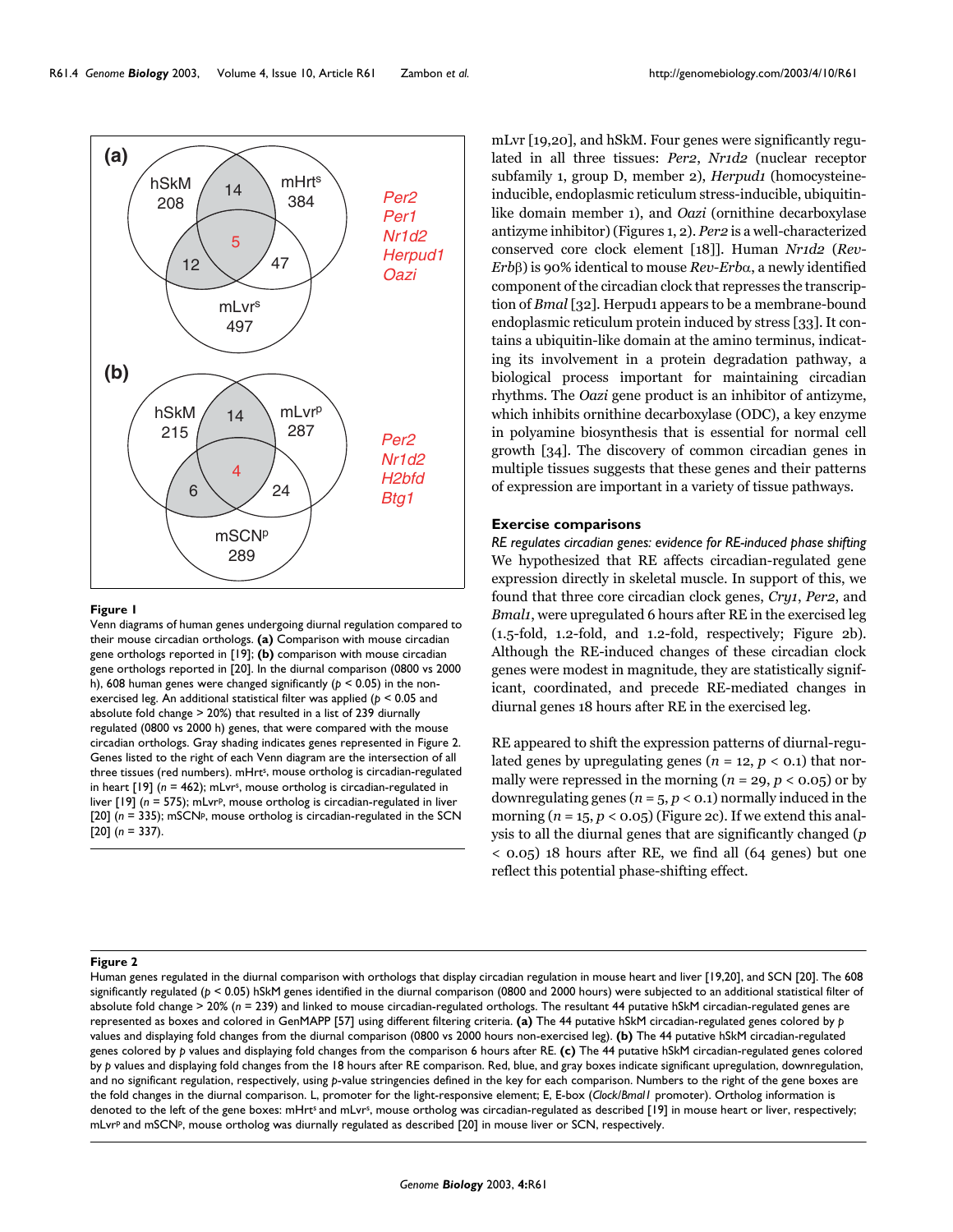

#### Venn diagrams of human genes undergoi their mouse circadian orthologs **Figure 1** ng diurnal regulation compared to

Venn diagrams of human genes undergoing diurnal regulation compared to their mouse circadian orthologs. **(a)** Comparison with mouse circadian gene orthologs reported in [19]; **(b)** comparison with mouse circadian gene orthologs reported in [20]. In the diurnal comparison (0800 vs 2000 h), 608 human genes were changed significantly (*p* < 0.05) in the nonexercised leg. An additional statistical filter was applied (*p* < 0.05 and absolute fold change > 20%) that resulted in a list of 239 diurnally regulated (0800 vs 2000 h) genes, that were compared with the mouse circadian orthologs. Gray shading indicates genes represented in Figure 2. Genes listed to the right of each Venn diagram are the intersection of all three tissues (red numbers). mHrt<sup>s</sup>, mouse ortholog is circadian-regulated in heart [19] (*n* = 462); mLvrs, mouse ortholog is circadian-regulated in liver [19] (*n* = 575); mLvrp, mouse ortholog is circadian-regulated in liver [20] ( $n = 335$ ); mSCNP, mouse ortholog is circadian-regulated in the SCN [20] (*n* = 337).

mLvr [19,20], and hSkM. Four genes were significantly regulated in all three tissues: *Per2*, *Nr1d2* (nuclear receptor subfamily 1, group D, member 2), *Herpud1* (homocysteineinducible, endoplasmic reticulum stress-inducible, ubiquitinlike domain member 1), and *Oazi* (ornithine decarboxylase antizyme inhibitor) (Figures 1, 2). *Per2* is a well-characterized conserved core clock element [18]]. Human *Nr1d2* (*Rev-Erb*β) is 90% identical to mouse *Rev-Erb*α, a newly identified component of the circadian clock that represses the transcription of *Bmal* [32]. Herpud1 appears to be a membrane-bound endoplasmic reticulum protein induced by stress [33]. It contains a ubiquitin-like domain at the amino terminus, indicating its involvement in a protein degradation pathway, a biological process important for maintaining circadian rhythms. The *Oazi* gene product is an inhibitor of antizyme, which inhibits ornithine decarboxylase (ODC), a key enzyme in polyamine biosynthesis that is essential for normal cell growth [34]. The discovery of common circadian genes in multiple tissues suggests that these genes and their patterns of expression are important in a variety of tissue pathways.

### **Exercise comparisons**

*RE regulates circadian genes: evidence for RE-induced phase shifting* We hypothesized that RE affects circadian-regulated gene expression directly in skeletal muscle. In support of this, we found that three core circadian clock genes, *Cry1*, *Per2*, and *Bmal1*, were upregulated 6 hours after RE in the exercised leg (1.5-fold, 1.2-fold, and 1.2-fold, respectively; Figure 2b). Although the RE-induced changes of these circadian clock genes were modest in magnitude, they are statistically significant, coordinated, and precede RE-mediated changes in diurnal genes 18 hours after RE in the exercised leg.

RE appeared to shift the expression patterns of diurnal-regulated genes by upregulating genes ( $n = 12$ ,  $p < 0.1$ ) that normally were repressed in the morning  $(n = 29, p < 0.05)$  or by downregulating genes ( $n = 5$ ,  $p < 0.1$ ) normally induced in the morning  $(n = 15, p < 0.05)$  (Figure 2c). If we extend this analysis to all the diurnal genes that are significantly changed (*p* < 0.05) 18 hours after RE, we find all (64 genes) but one reflect this potential phase-shifting effect.

#### Human genes regulated in the diurnal comparis **Figure 2** on with orthologs that display circadian regulation in mouse heart and liver [19,20], and SCN [20]

Human genes regulated in the diurnal comparison with orthologs that display circadian regulation in mouse heart and liver [19,20], and SCN [20]. The 608 significantly regulated (*p* < 0.05) hSkM genes identified in the diurnal comparison (0800 and 2000 hours) were subjected to an additional statistical filter of absolute fold change > 20% (*n* = 239) and linked to mouse circadian-regulated orthologs. The resultant 44 putative hSkM circadian-regulated genes are represented as boxes and colored in GenMAPP [57] using different filtering criteria. **(a)** The 44 putative hSkM circadian-regulated genes colored by *p*  values and displaying fold changes from the diurnal comparison (0800 vs 2000 hours non-exercised leg). **(b)** The 44 putative hSkM circadian-regulated genes colored by *p* values and displaying fold changes from the comparison 6 hours after RE. **(c)** The 44 putative hSkM circadian-regulated genes colored by *p* values and displaying fold changes from the 18 hours after RE comparison. Red, blue, and gray boxes indicate significant upregulation, downregulation, and no significant regulation, respectively, using *p*-value stringencies defined in the key for each comparison. Numbers to the right of the gene boxes are the fold changes in the diurnal comparison. L, promoter for the light-responsive element; E, E-box (*Clock*/*Bmal1* promoter). Ortholog information is denoted to the left of the gene boxes: mHrt<sup>s</sup> and mLvr<sup>s</sup>, mouse ortholog was circadian-regulated as described [19] in mouse heart or liver, respectively; mLvrp and mSCNp, mouse ortholog was diurnally regulated as described [20] in mouse liver or SCN, respectively.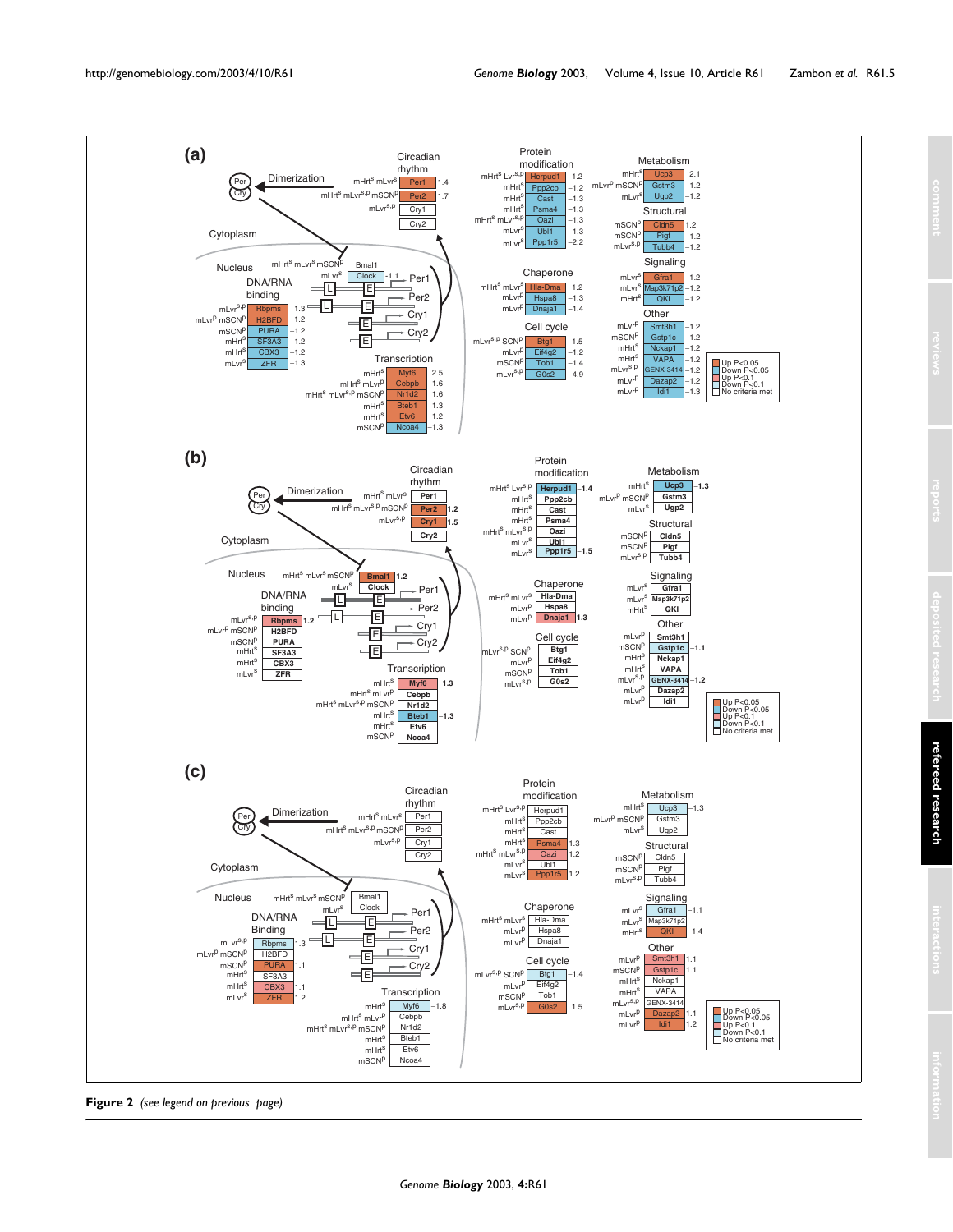

**Figure 2** *(see legend on previous page)*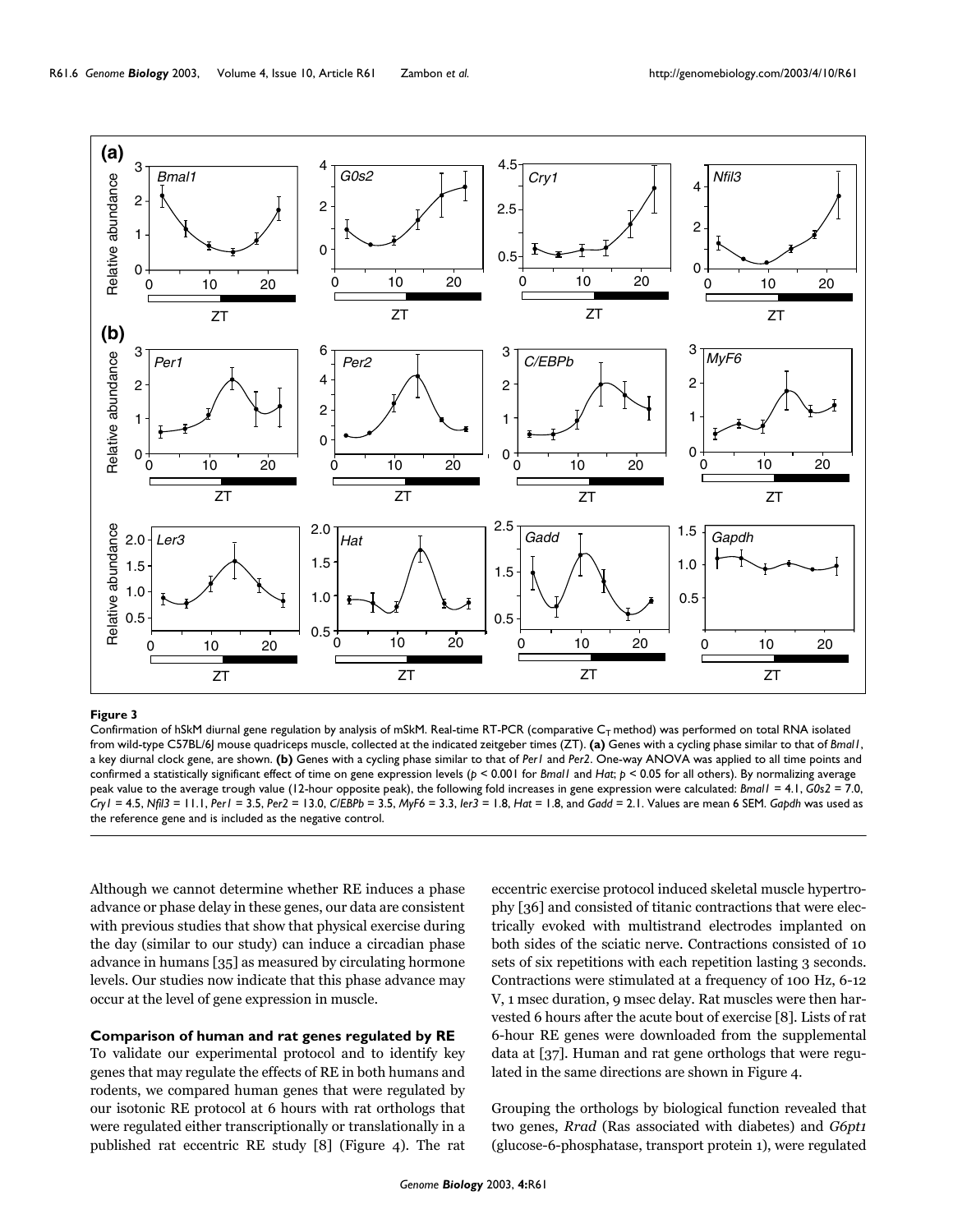

Confirmation of hSkM diurnal gene regulation by analysis of mSkM. Real-time RT-PCR (comparative  $C_T$  method) was performed on total RNA isolated from wild-type C57BL/6J mouse quadriceps muscle, collected at the indicated zeitgeber times (ZT). **(a)** Genes with a cycling phase similar to that of *Bmal1*, a key diurnal clock gene, are shown. **(b)** Genes with a cycling phase similar to that of *Per1* and *Per2*. One-way ANOVA was applied to all time points and confirmed a statistically significant effect of time on gene expression levels (*p* < 0.001 for *Bmal1* and *Hat*; *p* < 0.05 for all others). By normalizing average peak value to the average trough value (12-hour opposite peak), the following fold increases in gene expression were calculated: *Bmal1* = 4.1, *G0s2* = 7.0, Cry  $I = 4.5$ , Nfil3 = 11.1, Per  $I = 3.5$ , Per  $2 = 13.0$ , CIEBPb = 3.5, MyF6 = 3.3, ler3 = 1.8, Hat = 1.8, and Gadd = 2.1. Values are mean 6 SEM. Gapdh was used as

Although we cannot determine whether RE induces a phase advance or phase delay in these genes, our data are consistent with previous studies that show that physical exercise during the day (similar to our study) can induce a circadian phase advance in humans [35] as measured by circulating hormone levels. Our studies now indicate that this phase advance may occur at the level of gene expression in muscle.

# **Comparison of human and rat genes regulated by RE**

To validate our experimental protocol and to identify key genes that may regulate the effects of RE in both humans and rodents, we compared human genes that were regulated by our isotonic RE protocol at 6 hours with rat orthologs that were regulated either transcriptionally or translationally in a published rat eccentric RE study [8] (Figure [4](#page-6-0)). The rat

eccentric exercise protocol induced skeletal muscle hypertrophy [36] and consisted of titanic contractions that were electrically evoked with multistrand electrodes implanted on both sides of the sciatic nerve. Contractions consisted of 10 sets of six repetitions with each repetition lasting 3 seconds. Contractions were stimulated at a frequency of 100 Hz, 6-12 V, 1 msec duration, 9 msec delay. Rat muscles were then harvested 6 hours after the acute bout of exercise [8]. Lists of rat 6-hour RE genes were downloaded from the supplemental data at [37]. Human and rat gene orthologs that were regulated in the same directions are shown in Figure [4](#page-6-0).

Grouping the orthologs by biological function revealed that two genes, *Rrad* (Ras associated with diabetes) and *G6pt1* (glucose-6-phosphatase, transport protein 1), were regulated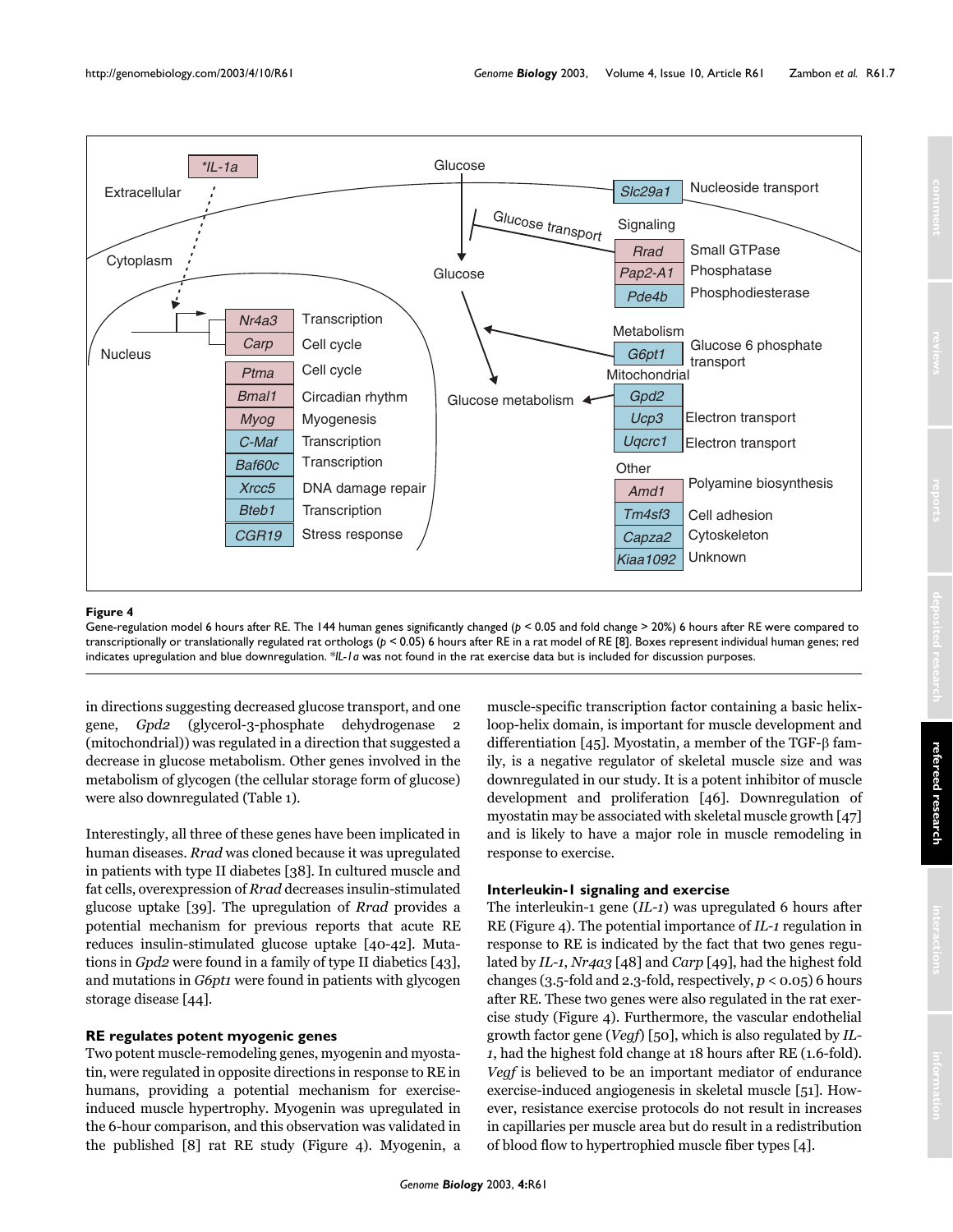<span id="page-6-0"></span>

Gene-regulation model 6 hours after RE. The 144 human genes significantly changed (*p* < 0.05 and fold change > 20%) 6 hours after RE were compared to transcriptionally or translationally regulated rat orthologs (*p* < 0.05) 6 hours after RE in a rat model of RE [8]. Boxes represent individual human genes; red indicates upregulation and blue downregulation. \**IL-1a* was not found in the rat exercise data but is included for discussion purposes.

in directions suggesting decreased glucose transport, and one gene, *Gpd2* (glycerol-3-phosphate dehydrogenase 2 (mitochondrial)) was regulated in a direction that suggested a decrease in glucose metabolism. Other genes involved in the metabolism of glycogen (the cellular storage form of glucose) were also downregulated (Table [1](#page-2-0)).

Interestingly, all three of these genes have been implicated in human diseases. *Rrad* was cloned because it was upregulated in patients with type II diabetes [38]. In cultured muscle and fat cells, overexpression of *Rrad* decreases insulin-stimulated glucose uptake [39]. The upregulation of *Rrad* provides a potential mechanism for previous reports that acute RE reduces insulin-stimulated glucose uptake [40-42]. Mutations in *Gpd2* were found in a family of type II diabetics [43], and mutations in *G6pt1* were found in patients with glycogen storage disease [44].

## **RE regulates potent myogenic genes**

Two potent muscle-remodeling genes, myogenin and myostatin, were regulated in opposite directions in response to RE in humans, providing a potential mechanism for exerciseinduced muscle hypertrophy. Myogenin was upregulated in the 6-hour comparison, and this observation was validated in the published [8] rat RE study (Figure [4\)](#page-6-0). Myogenin, a muscle-specific transcription factor containing a basic helixloop-helix domain, is important for muscle development and differentiation [45]. Myostatin, a member of the TGF-β family, is a negative regulator of skeletal muscle size and was downregulated in our study. It is a potent inhibitor of muscle development and proliferation [46]. Downregulation of myostatin may be associated with skeletal muscle growth [47] and is likely to have a major role in muscle remodeling in response to exercise.

## **Interleukin-1 signaling and exercise**

The interleukin-1 gene (*IL-1*) was upregulated 6 hours after RE (Figure [4\)](#page-6-0). The potential importance of *IL-1* regulation in response to RE is indicated by the fact that two genes regulated by *IL-1*, *Nr4a3* [48] and *Carp* [49], had the highest fold changes (3.5-fold and 2.3-fold, respectively, *p* < 0.05) 6 hours after RE. These two genes were also regulated in the rat exercise study (Figure [4\)](#page-6-0). Furthermore, the vascular endothelial growth factor gene (*Vegf*) [[50](#page-11-1)], which is also regulated by *IL-1*, had the highest fold change at 18 hours after RE (1.6-fold). *Vegf* is believed to be an important mediator of endurance exercise-induced angiogenesis in skeletal muscle [51]. However, resistance exercise protocols do not result in increases in capillaries per muscle area but do result in a redistribution of blood flow to hypertrophied muscle fiber types [4].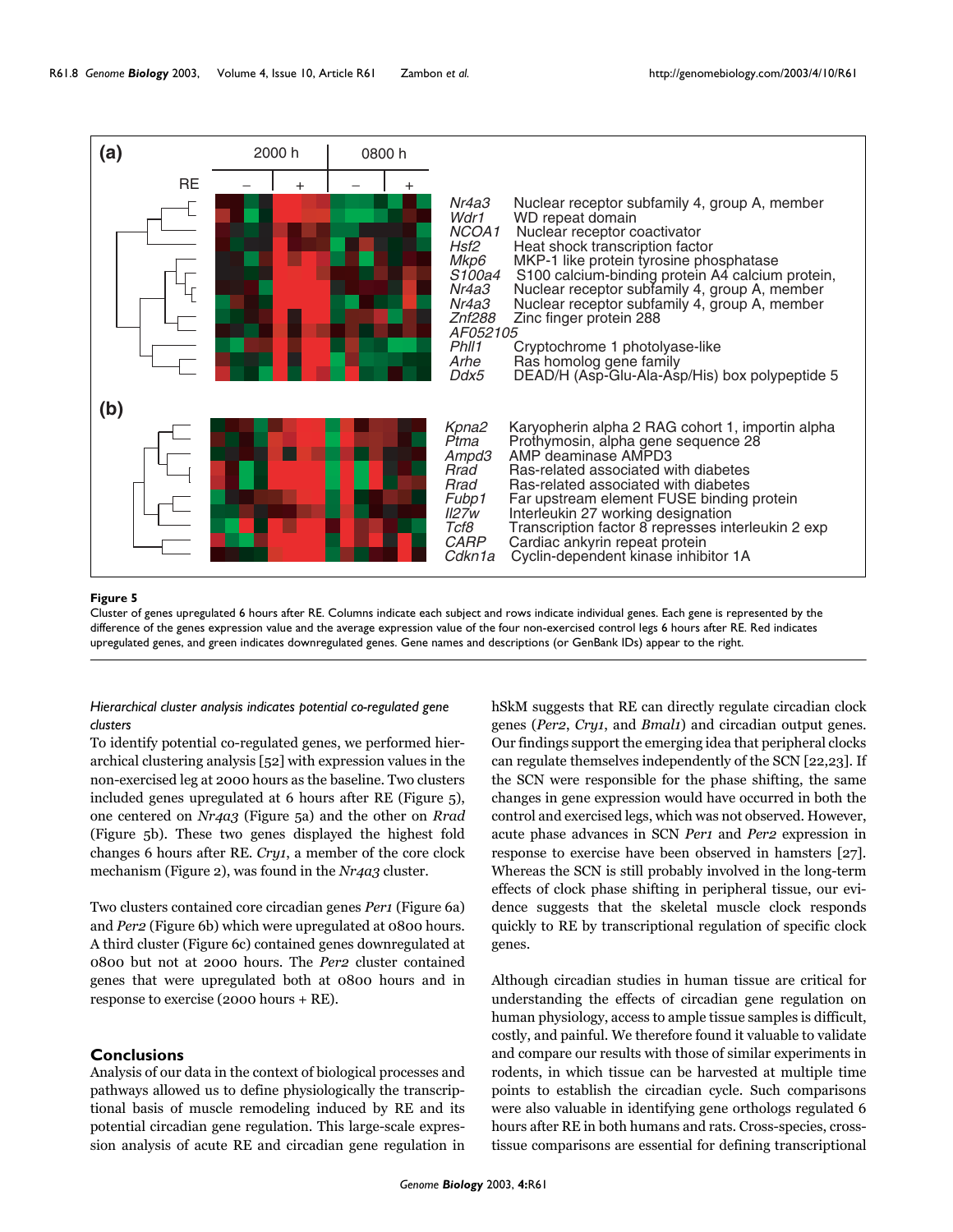

Cluster of genes upregulated 6 hours after RE. Columns indicate each subject and rows indicate individual genes. Each gene is represented by the difference of the genes expression value and the average expression value of the four non-exercised control legs 6 hours after RE. Red indicates upregulated genes, and green indicates downregulated genes. Gene names and descriptions (or GenBank IDs) appear to the right.

# *Hierarchical cluster analysis indicates potential co-regulated gene clusters*

To identify potential co-regulated genes, we performed hierarchical clustering analysis [52] with expression values in the non-exercised leg at 2000 hours as the baseline. Two clusters included genes upregulated at 6 hours after RE (Figure 5), one centered on *Nr4a3* (Figure 5a) and the other on *Rrad* (Figure 5b). These two genes displayed the highest fold changes 6 hours after RE. *Cry1*, a member of the core clock mechanism (Figure 2), was found in the *Nr4a3* cluster.

Two clusters contained core circadian genes *Per1* (Figure [6a](#page-8-0)) and *Per2* (Figure [6](#page-8-0)b) which were upregulated at 0800 hours. A third cluster (Figure [6c](#page-8-0)) contained genes downregulated at 0800 but not at 2000 hours. The *Per2* cluster contained genes that were upregulated both at 0800 hours and in response to exercise (2000 hours + RE).

## **Conclusions**

Analysis of our data in the context of biological processes and pathways allowed us to define physiologically the transcriptional basis of muscle remodeling induced by RE and its potential circadian gene regulation. This large-scale expression analysis of acute RE and circadian gene regulation in hSkM suggests that RE can directly regulate circadian clock genes (*Per2*, *Cry1*, and *Bmal1*) and circadian output genes. Our findings support the emerging idea that peripheral clocks can regulate themselves independently of the SCN [22,23]. If the SCN were responsible for the phase shifting, the same changes in gene expression would have occurred in both the control and exercised legs, which was not observed. However, acute phase advances in SCN *Per1* and *Per2* expression in response to exercise have been observed in hamsters [27]. Whereas the SCN is still probably involved in the long-term effects of clock phase shifting in peripheral tissue, our evidence suggests that the skeletal muscle clock responds quickly to RE by transcriptional regulation of specific clock genes.

Although circadian studies in human tissue are critical for understanding the effects of circadian gene regulation on human physiology, access to ample tissue samples is difficult, costly, and painful. We therefore found it valuable to validate and compare our results with those of similar experiments in rodents, in which tissue can be harvested at multiple time points to establish the circadian cycle. Such comparisons were also valuable in identifying gene orthologs regulated 6 hours after RE in both humans and rats. Cross-species, crosstissue comparisons are essential for defining transcriptional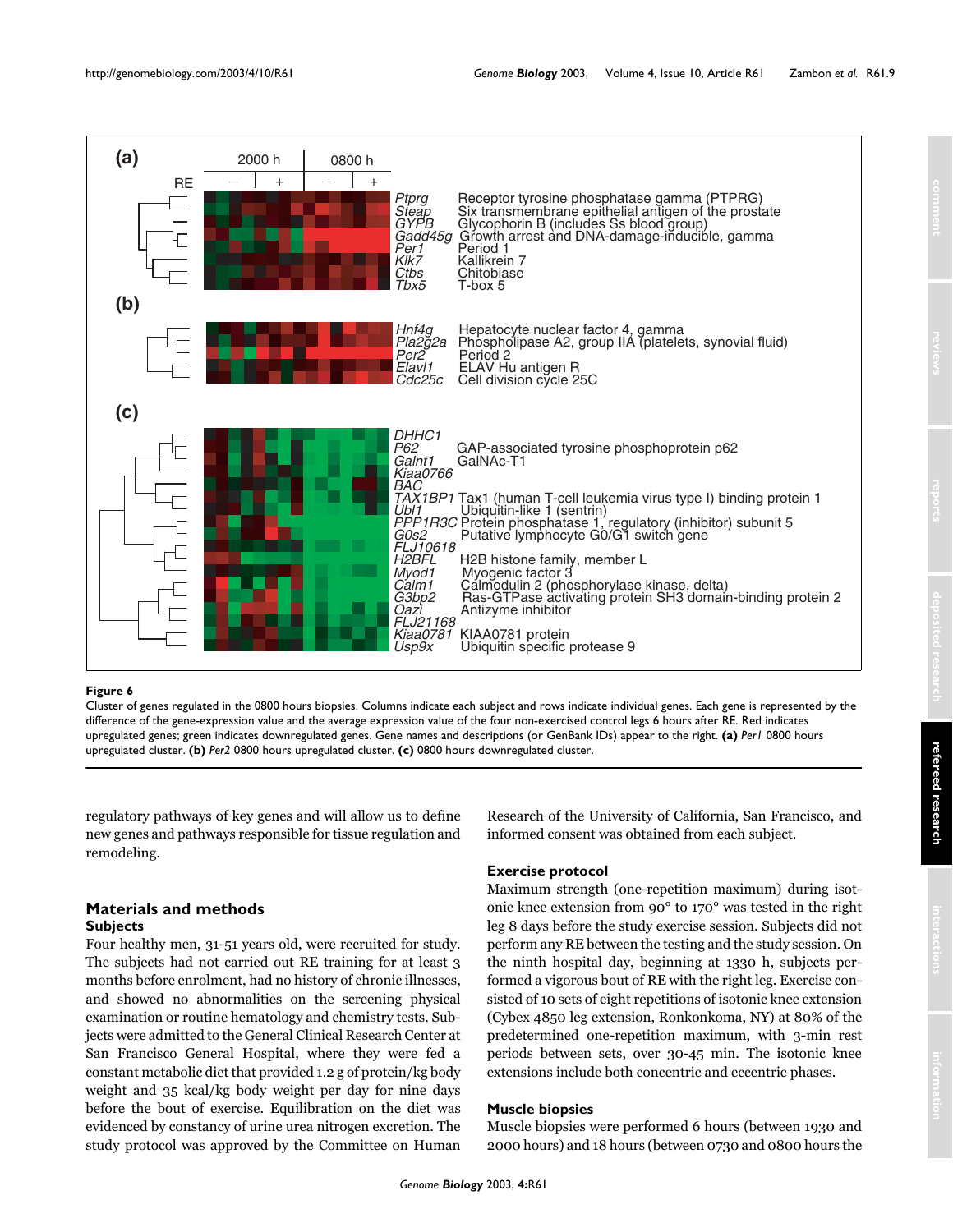<span id="page-8-0"></span>

Cluster of genes regulated in the 0800 hours biopsies. Columns indicate each subject and rows indicate individual genes. Each gene is represented by the difference of the gene-expression value and the average expression value of the four non-exercised control legs 6 hours after RE. Red indicates upregulated genes; green indicates downregulated genes. Gene names and descriptions (or GenBank IDs) appear to the right. **(a)** *Per1* 0800 hours upregulated cluster. **(b)** *Per2* 0800 hours upregulated cluster. **(c)** 0800 hours downregulated cluster.

regulatory pathways of key genes and will allow us to define new genes and pathways responsible for tissue regulation and remodeling.

# **Materials and methods Subjects**

Four healthy men, 31-51 years old, were recruited for study. The subjects had not carried out RE training for at least 3 months before enrolment, had no history of chronic illnesses, and showed no abnormalities on the screening physical examination or routine hematology and chemistry tests. Subjects were admitted to the General Clinical Research Center at San Francisco General Hospital, where they were fed a constant metabolic diet that provided 1.2 g of protein/kg body weight and 35 kcal/kg body weight per day for nine days before the bout of exercise. Equilibration on the diet was evidenced by constancy of urine urea nitrogen excretion. The study protocol was approved by the Committee on Human Research of the University of California, San Francisco, and informed consent was obtained from each subject.

## **Exercise protocol**

Maximum strength (one-repetition maximum) during isotonic knee extension from 90° to 170° was tested in the right leg 8 days before the study exercise session. Subjects did not perform any RE between the testing and the study session. On the ninth hospital day, beginning at 1330 h, subjects performed a vigorous bout of RE with the right leg. Exercise consisted of 10 sets of eight repetitions of isotonic knee extension (Cybex 4850 leg extension, Ronkonkoma, NY) at 80% of the predetermined one-repetition maximum, with 3-min rest periods between sets, over 30-45 min. The isotonic knee extensions include both concentric and eccentric phases.

# **Muscle biopsies**

Muscle biopsies were performed 6 hours (between 1930 and 2000 hours) and 18 hours (between 0730 and 0800 hours the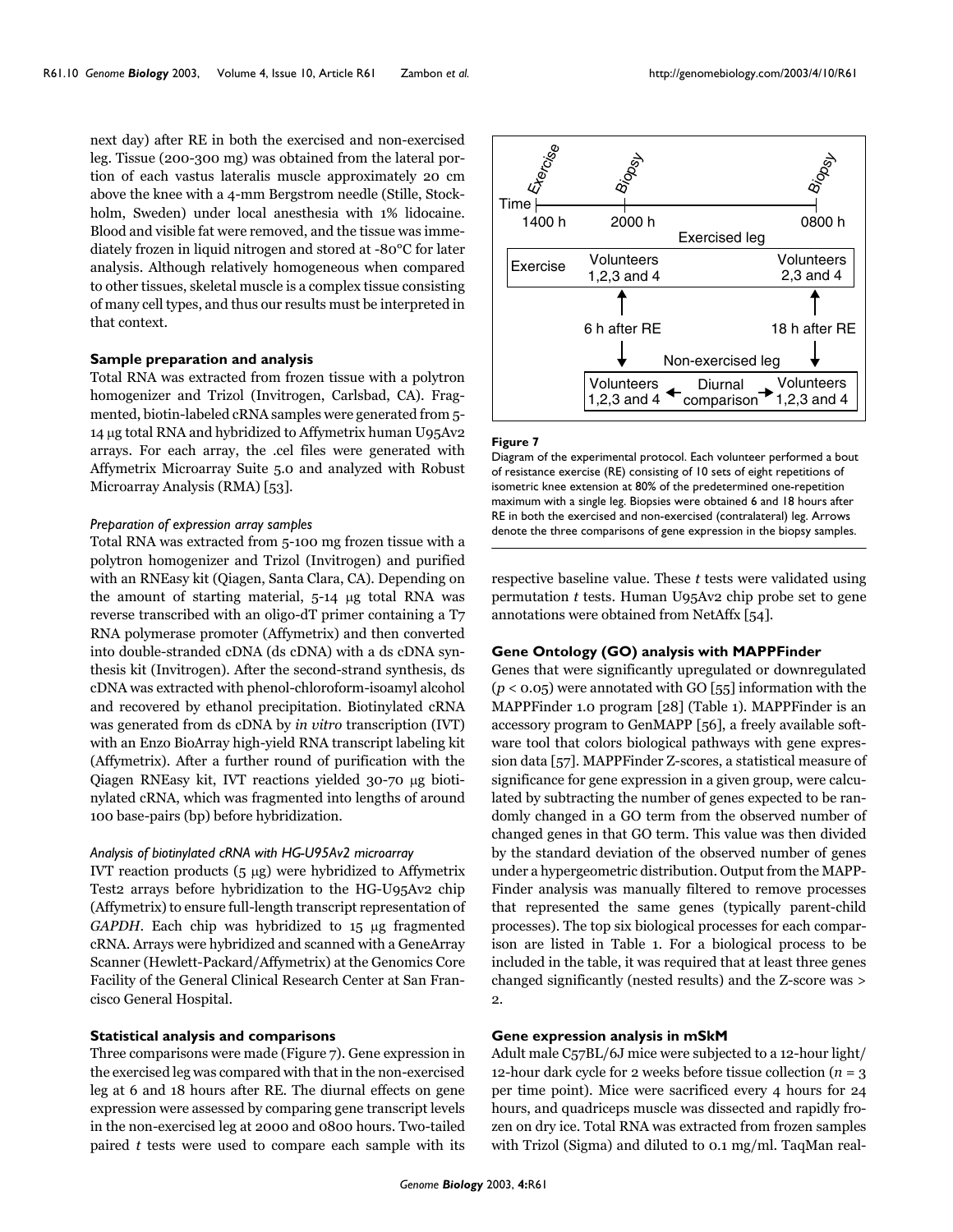next day) after RE in both the exercised and non-exercised leg. Tissue (200-300 mg) was obtained from the lateral portion of each vastus lateralis muscle approximately 20 cm above the knee with a 4-mm Bergstrom needle (Stille, Stockholm, Sweden) under local anesthesia with 1% lidocaine. Blood and visible fat were removed, and the tissue was immediately frozen in liquid nitrogen and stored at -80°C for later analysis. Although relatively homogeneous when compared to other tissues, skeletal muscle is a complex tissue consisting of many cell types, and thus our results must be interpreted in that context.

# **Sample preparation and analysis**

Total RNA was extracted from frozen tissue with a polytron homogenizer and Trizol (Invitrogen, Carlsbad, CA). Fragmented, biotin-labeled cRNA samples were generated from 5- 14 µg total RNA and hybridized to Affymetrix human U95Av2 arrays. For each array, the .cel files were generated with Affymetrix Microarray Suite 5.0 and analyzed with Robust Microarray Analysis (RMA) [53].

#### *Preparation of expression array samples*

Total RNA was extracted from 5-100 mg frozen tissue with a polytron homogenizer and Trizol (Invitrogen) and purified with an RNEasy kit (Qiagen, Santa Clara, CA). Depending on the amount of starting material, 5-14 µg total RNA was reverse transcribed with an oligo-dT primer containing a T7 RNA polymerase promoter (Affymetrix) and then converted into double-stranded cDNA (ds cDNA) with a ds cDNA synthesis kit (Invitrogen). After the second-strand synthesis, ds cDNA was extracted with phenol-chloroform-isoamyl alcohol and recovered by ethanol precipitation. Biotinylated cRNA was generated from ds cDNA by *in vitro* transcription (IVT) with an Enzo BioArray high-yield RNA transcript labeling kit (Affymetrix). After a further round of purification with the Qiagen RNEasy kit, IVT reactions yielded 30-70 µg biotinylated cRNA, which was fragmented into lengths of around 100 base-pairs (bp) before hybridization.

### *Analysis of biotinylated cRNA with HG-U95Av2 microarray*

IVT reaction products  $(5 \mu g)$  were hybridized to Affymetrix Test2 arrays before hybridization to the HG-U95Av2 chip (Affymetrix) to ensure full-length transcript representation of *GAPDH*. Each chip was hybridized to 15 µg fragmented cRNA. Arrays were hybridized and scanned with a GeneArray Scanner (Hewlett-Packard/Affymetrix) at the Genomics Core Facility of the General Clinical Research Center at San Francisco General Hospital.

### **Statistical analysis and comparisons**

Three comparisons were made (Figure 7). Gene expression in the exercised leg was compared with that in the non-exercised leg at 6 and 18 hours after RE. The diurnal effects on gene expression were assessed by comparing gene transcript levels in the non-exercised leg at 2000 and 0800 hours. Two-tailed paired *t* tests were used to compare each sample with its



#### **Figure 7**

Diagram of the experimental protocol. Each volunteer performed a bout of resistance exercise (RE) consisting of 10 sets of eight repetitions of isometric knee extension at 80% of the predetermined one-repetition maximum with a single leg. Biopsies were obtained 6 and 18 hours after RE in both the exercised and non-exercised (contralateral) leg. Arrows denote the three comparisons of gene expression in the biopsy samples.

respective baseline value. These *t* tests were validated using permutation *t* tests. Human U95Av2 chip probe set to gene annotations were obtained from NetAffx [54].

### **Gene Ontology (GO) analysis with MAPPFinder**

Genes that were significantly upregulated or downregulated (*p* < 0.05) were annotated with GO [55] information with the MAPPFinder 1.0 program [28] (Table [1](#page-2-0)). MAPPFinder is an accessory program to GenMAPP [56], a freely available software tool that colors biological pathways with gene expression data [57]. MAPPFinder Z-scores, a statistical measure of significance for gene expression in a given group, were calculated by subtracting the number of genes expected to be randomly changed in a GO term from the observed number of changed genes in that GO term. This value was then divided by the standard deviation of the observed number of genes under a hypergeometric distribution. Output from the MAPP-Finder analysis was manually filtered to remove processes that represented the same genes (typically parent-child processes). The top six biological processes for each comparison are listed in Table [1](#page-2-0). For a biological process to be included in the table, it was required that at least three genes changed significantly (nested results) and the Z-score was >  $\mathfrak{D}$ 

# **Gene expression analysis in mSkM**

Adult male C57BL/6J mice were subjected to a 12-hour light/ 12-hour dark cycle for 2 weeks before tissue collection  $(n = 3$ per time point). Mice were sacrificed every 4 hours for 24 hours, and quadriceps muscle was dissected and rapidly frozen on dry ice. Total RNA was extracted from frozen samples with Trizol (Sigma) and diluted to 0.1 mg/ml. TaqMan real-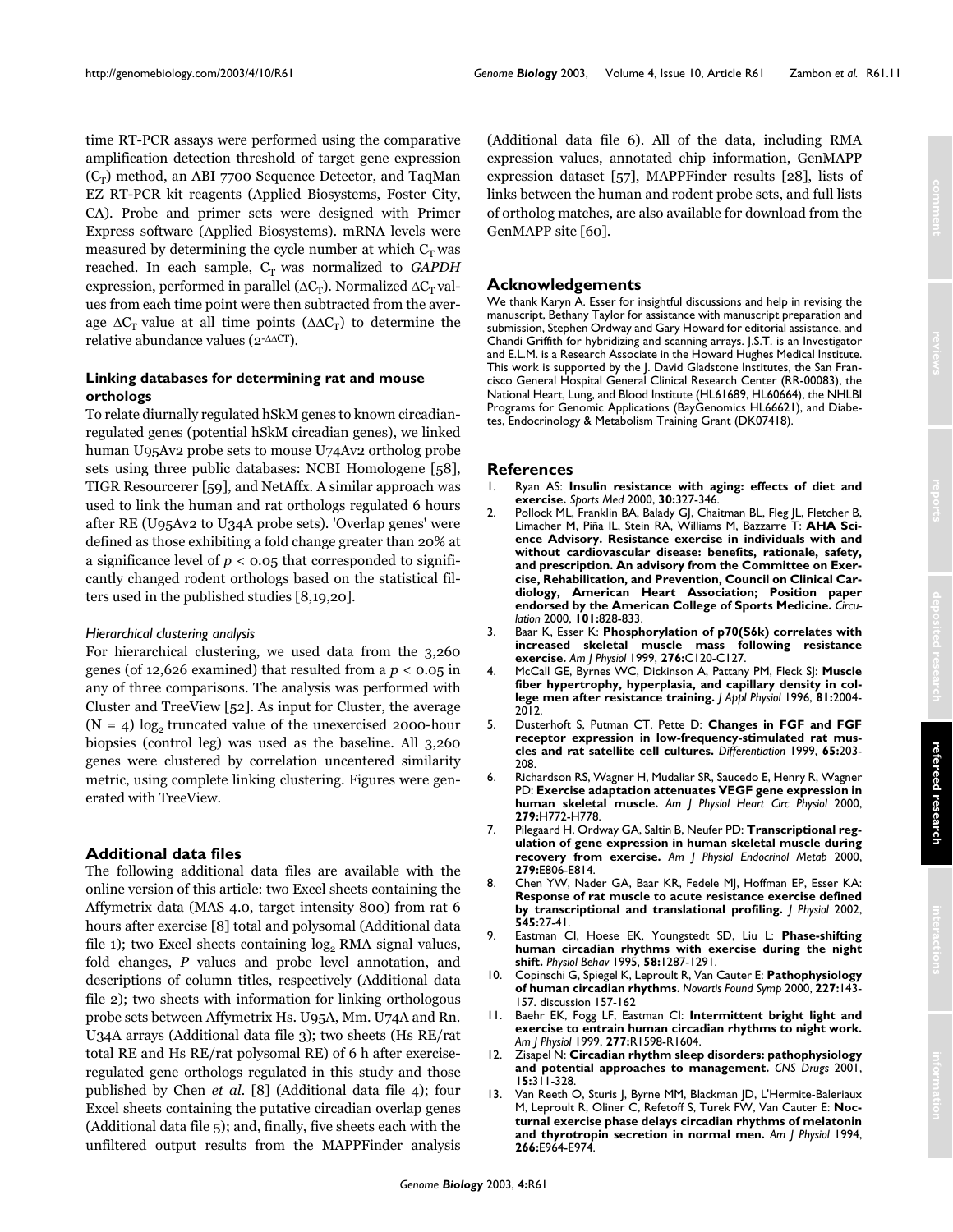time RT-PCR assays were performed using the comparative amplification detection threshold of target gene expression  $(C_T)$  method, an ABI 7700 Sequence Detector, and TaqMan EZ RT-PCR kit reagents (Applied Biosystems, Foster City, CA). Probe and primer sets were designed with Primer Express software (Applied Biosystems). mRNA levels were measured by determining the cycle number at which  $C_T$  was reached. In each sample,  $C_T$  was normalized to *GAPDH* expression, performed in parallel ( $\Delta C_T$ ). Normalized  $\Delta C_T$  values from each time point were then subtracted from the average  $\Delta C_T$  value at all time points ( $\Delta \Delta C_T$ ) to determine the relative abundance values (2-∆∆CT).

# **Linking databases for determining rat and mouse orthologs**

To relate diurnally regulated hSkM genes to known circadianregulated genes (potential hSkM circadian genes), we linked human U95Av2 probe sets to mouse U74Av2 ortholog probe sets using three public databases: NCBI Homologene [58], TIGR Resourcerer [59], and NetAffx. A similar approach was used to link the human and rat orthologs regulated 6 hours after RE (U95Av2 to U34A probe sets). 'Overlap genes' were defined as those exhibiting a fold change greater than 20% at a significance level of *p* < 0.05 that corresponded to significantly changed rodent orthologs based on the statistical filters used in the published studies [8,19,20].

## *Hierarchical clustering analysis*

For hierarchical clustering, we used data from the 3,260 genes (of 12,626 examined) that resulted from a  $p < 0.05$  in any of three comparisons. The analysis was performed with Cluster and TreeView [52]. As input for Cluster, the average (N = 4)  $log_2$  truncated value of the unexercised 2000-hour biopsies (control leg) was used as the baseline. All 3,260 genes were clustered by correlation uncentered similarity metric, using complete linking clustering. Figures were generated with TreeView.

## **Additional data files**

The following additional data files are available with the online version of this article: two Excel sheets containing the Affymetrix data (MAS 4.0, target intensity 800) from rat 6 hours after exercise [8] total and polysomal (Additional data file 1); two Excel sheets containing  $log<sub>2</sub>$  RMA signal values, fold changes, *P* values and probe level annotation, and descriptions of column titles, respectively (Additional data file 2); two sheets with information for linking orthologous probe sets between Affymetrix Hs. U95A, Mm. U74A and Rn. U34A arrays (Additional data file 3); two sheets (Hs RE/rat total RE and Hs RE/rat polysomal RE) of 6 h after exerciseregulated gene orthologs regulated in this study and those published by Chen *et al.* [8] (Additional data file 4); four Excel sheets containing the putative circadian overlap genes (Additional data file 5); and, finally, five sheets each with the unfiltered output results from the MAPPFinder analysis

(Additional data file 6). All of the data, including RMA expression values, annotated chip information, GenMAPP expression dataset [57], MAPPFinder results [28], lists of links between the human and rodent probe sets, and full lists of ortholog matches, are also available for download from the GenMAPP site [60].

# **Acknowledgements**

We thank Karyn A. Esser for insightful discussions and help in revising the manuscript, Bethany Taylor for assistance with manuscript preparation and submission, Stephen Ordway and Gary Howard for editorial assistance, and Chandi Griffith for hybridizing and scanning arrays. J.S.T. is an Investigator and E.L.M. is a Research Associate in the Howard Hughes Medical Institute. This work is supported by the J. David Gladstone Institutes, the San Francisco General Hospital General Clinical Research Center (RR-00083), the National Heart, Lung, and Blood Institute (HL61689, HL60664), the NHLBI Programs for Genomic Applications (BayGenomics HL66621), and Diabetes, Endocrinology & Metabolism Training Grant (DK07418).

## **References**

- 1. Ryan AS: **[Insulin resistance with aging: effects of diet and](http://www.ncbi.nlm.nih.gov/entrez/query.fcgi?cmd=Retrieve&db=PubMed&dopt=Abstract&list_uids=11103847) [exercise.](http://www.ncbi.nlm.nih.gov/entrez/query.fcgi?cmd=Retrieve&db=PubMed&dopt=Abstract&list_uids=11103847)** *Sports Med* 2000, **30:**327-346.
- 2. Pollock ML, Franklin BA, Balady GJ, Chaitman BL, Fleg JL, Fletcher B, Limacher M, Piña IL, Stein RA, Williams M, Bazzarre T: **[AHA Sci](http://www.ncbi.nlm.nih.gov/entrez/query.fcgi?cmd=Retrieve&db=PubMed&dopt=Abstract&list_uids=10683360)[ence Advisory. Resistance exercise in individuals with and](http://www.ncbi.nlm.nih.gov/entrez/query.fcgi?cmd=Retrieve&db=PubMed&dopt=Abstract&list_uids=10683360) without cardiovascular disease: benefits, rationale, safety, and prescription. An advisory from the Committee on Exercise, Rehabilitation, and Prevention, Council on Clinical Cardiology, American Heart Association; Position paper [endorsed by the American College of Sports Medicine.](http://www.ncbi.nlm.nih.gov/entrez/query.fcgi?cmd=Retrieve&db=PubMed&dopt=Abstract&list_uids=10683360)** *Circulation* 2000, **101:**828-833.
- 3. Baar K, Esser K: **[Phosphorylation of p70\(S6k\) correlates with](http://www.ncbi.nlm.nih.gov/entrez/query.fcgi?cmd=Retrieve&db=PubMed&dopt=Abstract&list_uids=9886927) [increased skeletal muscle mass following resistance](http://www.ncbi.nlm.nih.gov/entrez/query.fcgi?cmd=Retrieve&db=PubMed&dopt=Abstract&list_uids=9886927) [exercise.](http://www.ncbi.nlm.nih.gov/entrez/query.fcgi?cmd=Retrieve&db=PubMed&dopt=Abstract&list_uids=9886927)** *Am J Physiol* 1999, **276:**C120-C127.
- 4. McCall GE, Byrnes WC, Dickinson A, Pattany PM, Fleck SJ: **[Muscle](http://www.ncbi.nlm.nih.gov/entrez/query.fcgi?cmd=Retrieve&db=PubMed&dopt=Abstract&list_uids=8941522) [fiber hypertrophy, hyperplasia, and capillary density in col](http://www.ncbi.nlm.nih.gov/entrez/query.fcgi?cmd=Retrieve&db=PubMed&dopt=Abstract&list_uids=8941522)[lege men after resistance training.](http://www.ncbi.nlm.nih.gov/entrez/query.fcgi?cmd=Retrieve&db=PubMed&dopt=Abstract&list_uids=8941522)** *J Appl Physiol* 1996, **81:**2004- 2012.
- 5. Dusterhoft S, Putman CT, Pette D: **[Changes in FGF and FGF](http://www.ncbi.nlm.nih.gov/entrez/query.fcgi?cmd=Retrieve&db=PubMed&dopt=Abstract&list_uids=10653356) [receptor expression in low-frequency-stimulated rat mus](http://www.ncbi.nlm.nih.gov/entrez/query.fcgi?cmd=Retrieve&db=PubMed&dopt=Abstract&list_uids=10653356)[cles and rat satellite cell cultures.](http://www.ncbi.nlm.nih.gov/entrez/query.fcgi?cmd=Retrieve&db=PubMed&dopt=Abstract&list_uids=10653356)** *Differentiation* 1999, **65:**203- 208.
- 6. Richardson RS, Wagner H, Mudaliar SR, Saucedo E, Henry R, Wagner PD: **[Exercise adaptation attenuates VEGF gene expression in](http://www.ncbi.nlm.nih.gov/entrez/query.fcgi?cmd=Retrieve&db=PubMed&dopt=Abstract&list_uids=10924077) [human skeletal muscle.](http://www.ncbi.nlm.nih.gov/entrez/query.fcgi?cmd=Retrieve&db=PubMed&dopt=Abstract&list_uids=10924077)** *Am J Physiol Heart Circ Physiol* 2000, **279:**H772-H778.
- 7. Pilegaard H, Ordway GA, Saltin B, Neufer PD: **[Transcriptional reg](http://www.ncbi.nlm.nih.gov/entrez/query.fcgi?cmd=Retrieve&db=PubMed&dopt=Abstract&list_uids=11001762)[ulation of gene expression in human skeletal muscle during](http://www.ncbi.nlm.nih.gov/entrez/query.fcgi?cmd=Retrieve&db=PubMed&dopt=Abstract&list_uids=11001762) [recovery from exercise.](http://www.ncbi.nlm.nih.gov/entrez/query.fcgi?cmd=Retrieve&db=PubMed&dopt=Abstract&list_uids=11001762)** *Am J Physiol Endocrinol Metab* 2000, **279:**E806-E814.
- 8. Chen YW, Nader GA, Baar KR, Fedele MJ, Hoffman EP, Esser KA: **[Response of rat muscle to acute resistance exercise defined](http://www.ncbi.nlm.nih.gov/entrez/query.fcgi?cmd=Retrieve&db=PubMed&dopt=Abstract&list_uids=12433947) [by transcriptional and translational profiling.](http://www.ncbi.nlm.nih.gov/entrez/query.fcgi?cmd=Retrieve&db=PubMed&dopt=Abstract&list_uids=12433947)** *J Physiol* 2002, **545:**27-41.
- 9. Eastman CI, Hoese EK, Youngstedt SD, Liu L: **[Phase-shifting](http://www.ncbi.nlm.nih.gov/entrez/query.fcgi?cmd=Retrieve&db=PubMed&dopt=Abstract&list_uids=8623034) [human circadian rhythms with exercise during the night](http://www.ncbi.nlm.nih.gov/entrez/query.fcgi?cmd=Retrieve&db=PubMed&dopt=Abstract&list_uids=8623034) [shift.](http://www.ncbi.nlm.nih.gov/entrez/query.fcgi?cmd=Retrieve&db=PubMed&dopt=Abstract&list_uids=8623034)** *Physiol Behav* 1995, **58:**1287-1291.
- 10. Copinschi G, Spiegel K, Leproult R, Van Cauter E: **[Pathophysiology](http://www.ncbi.nlm.nih.gov/entrez/query.fcgi?cmd=Retrieve&db=PubMed&dopt=Abstract&list_uids=10752069) [of human circadian rhythms.](http://www.ncbi.nlm.nih.gov/entrez/query.fcgi?cmd=Retrieve&db=PubMed&dopt=Abstract&list_uids=10752069)** *Novartis Found Symp* 2000, **227:**143- 157. discussion 157-162
- 11. Baehr EK, Fogg LF, Eastman CI: **[Intermittent bright light and](http://www.ncbi.nlm.nih.gov/entrez/query.fcgi?cmd=Retrieve&db=PubMed&dopt=Abstract&list_uids=10600904) [exercise to entrain human circadian rhythms to night work.](http://www.ncbi.nlm.nih.gov/entrez/query.fcgi?cmd=Retrieve&db=PubMed&dopt=Abstract&list_uids=10600904)** *Am J Physiol* 1999, **277:**R1598-R1604.
- 12. Zisapel N: **[Circadian rhythm sleep disorders: pathophysiology](http://www.ncbi.nlm.nih.gov/entrez/query.fcgi?cmd=Retrieve&db=PubMed&dopt=Abstract&list_uids=11463135) [and potential approaches to management.](http://www.ncbi.nlm.nih.gov/entrez/query.fcgi?cmd=Retrieve&db=PubMed&dopt=Abstract&list_uids=11463135)** *CNS Drugs* 2001, **15:**311-328.
- 13. Van Reeth O, Sturis J, Byrne MM, Blackman JD, L'Hermite-Baleriaux M, Leproult R, Oliner C, Refetoff S, Turek FW, Van Cauter E: **[Noc](http://www.ncbi.nlm.nih.gov/entrez/query.fcgi?cmd=Retrieve&db=PubMed&dopt=Abstract&list_uids=8023928)[turnal exercise phase delays circadian rhythms of melatonin](http://www.ncbi.nlm.nih.gov/entrez/query.fcgi?cmd=Retrieve&db=PubMed&dopt=Abstract&list_uids=8023928) [and thyrotropin secretion in normal men.](http://www.ncbi.nlm.nih.gov/entrez/query.fcgi?cmd=Retrieve&db=PubMed&dopt=Abstract&list_uids=8023928)** *Am J Physiol* 1994, **266:**E964-E974.